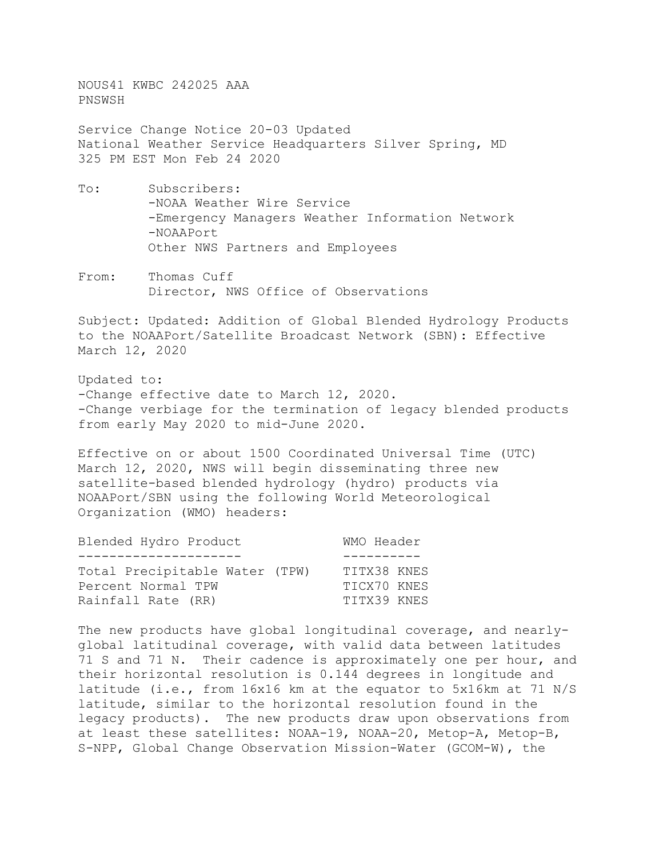NOUS41 KWBC 242025 AAA PNSWSH

Service Change Notice 20-03 Updated National Weather Service Headquarters Silver Spring, MD 325 PM EST Mon Feb 24 2020

- To: Subscribers: -NOAA Weather Wire Service -Emergency Managers Weather Information Network -NOAAPort Other NWS Partners and Employees
- From: Thomas Cuff Director, NWS Office of Observations

Subject: Updated: Addition of Global Blended Hydrology Products to the NOAAPort/Satellite Broadcast Network (SBN): Effective March 12, 2020

Updated to: -Change effective date to March 12, 2020. -Change verbiage for the termination of legacy blended products from early May 2020 to mid-June 2020.

Effective on or about 1500 Coordinated Universal Time (UTC) March 12, 2020, NWS will begin disseminating three new satellite-based blended hydrology (hydro) products via NOAAPort/SBN using the following World Meteorological Organization (WMO) headers:

| Blended Hydro Product          | WMO Header  |  |
|--------------------------------|-------------|--|
|                                |             |  |
| Total Precipitable Water (TPW) | TITX38 KNES |  |
| Percent Normal TPW             | TICX70 KNES |  |
| Rainfall Rate (RR)             | TITX39 KNES |  |

The new products have global longitudinal coverage, and nearlyglobal latitudinal coverage, with valid data between latitudes 71 S and 71 N. Their cadence is approximately one per hour, and their horizontal resolution is 0.144 degrees in longitude and latitude (i.e., from 16x16 km at the equator to 5x16km at 71 N/S latitude, similar to the horizontal resolution found in the legacy products). The new products draw upon observations from at least these satellites: NOAA-19, NOAA-20, Metop-A, Metop-B, S-NPP, Global Change Observation Mission-Water (GCOM-W), the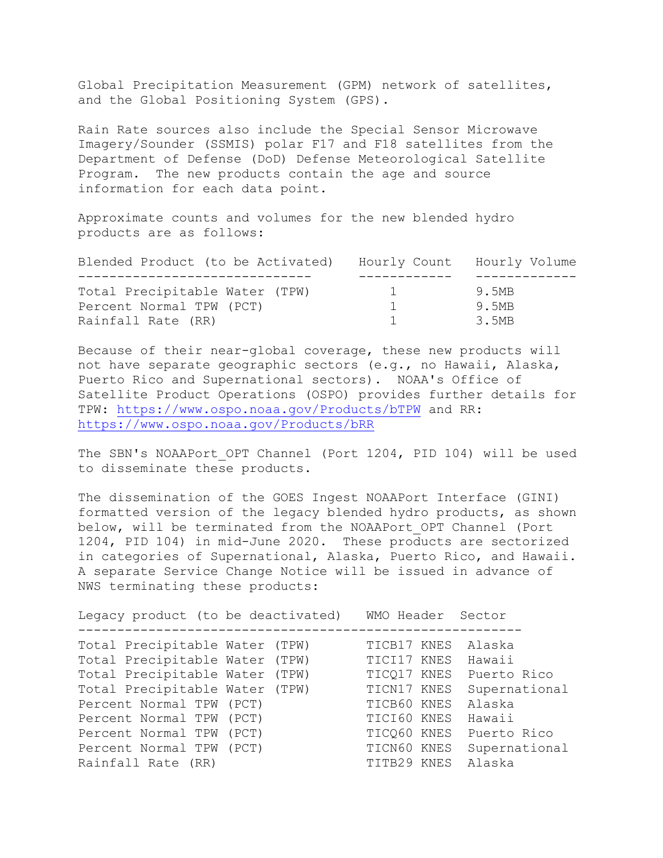Global Precipitation Measurement (GPM) network of satellites, and the Global Positioning System (GPS).

Rain Rate sources also include the Special Sensor Microwave Imagery/Sounder (SSMIS) polar F17 and F18 satellites from the Department of Defense (DoD) Defense Meteorological Satellite Program. The new products contain the age and source information for each data point.

Approximate counts and volumes for the new blended hydro products are as follows:

| Blended Product (to be Activated) |          | Hourly Count Hourly Volume |
|-----------------------------------|----------|----------------------------|
|                                   |          |                            |
| Total Precipitable Water (TPW)    | $\pm$    | 9.5MB                      |
| Percent Normal TPW (PCT)          | $\sim$ 1 | 9.5MB                      |
| Rainfall Rate (RR)                |          | 3.5MB                      |

Because of their near-global coverage, these new products will not have separate geographic sectors (e.g., no Hawaii, Alaska, Puerto Rico and Supernational sectors). NOAA's Office of Satellite Product Operations (OSPO) provides further details for TPW:<https://www.ospo.noaa.gov/Products/bTPW>and RR: <https://www.ospo.noaa.gov/Products/bRR>

The SBN's NOAAPort OPT Channel (Port 1204, PID 104) will be used to disseminate these products.

The dissemination of the GOES Ingest NOAAPort Interface (GINI) formatted version of the legacy blended hydro products, as shown below, will be terminated from the NOAAPort OPT Channel (Port 1204, PID 104) in mid-June 2020. These products are sectorized in categories of Supernational, Alaska, Puerto Rico, and Hawaii. A separate Service Change Notice will be issued in advance of NWS terminating these products:

| Legacy product (to be deactivated) | WMO Header Sector       |               |
|------------------------------------|-------------------------|---------------|
| Total Precipitable Water (TPW)     | TICB17 KNES             | Alaska        |
| Total Precipitable Water (TPW)     | TICI17 KNES             | Hawaii        |
| Total Precipitable Water (TPW)     | TICQ17 KNES Puerto Rico |               |
| Total Precipitable Water (TPW)     | TICN17 KNES             | Supernational |
| Percent Normal TPW (PCT)           | TICB60 KNES             | Alaska        |
| Percent Normal TPW (PCT)           | TICI60 KNES             | Hawaii        |
| Percent Normal TPW (PCT)           | TICQ60 KNES             | Puerto Rico   |
| Percent Normal TPW (PCT)           | TICN60 KNES             | Supernational |
| Rainfall Rate (RR)                 | TITB29 KNES             | Alaska        |